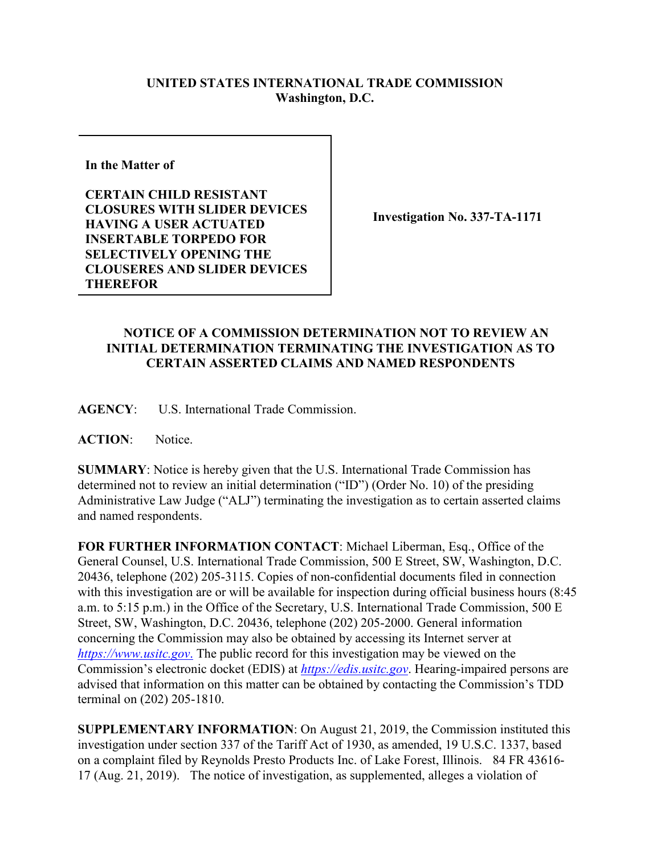## **UNITED STATES INTERNATIONAL TRADE COMMISSION Washington, D.C.**

**In the Matter of** 

**CERTAIN CHILD RESISTANT CLOSURES WITH SLIDER DEVICES HAVING A USER ACTUATED INSERTABLE TORPEDO FOR SELECTIVELY OPENING THE CLOUSERES AND SLIDER DEVICES THEREFOR**

**Investigation No. 337-TA-1171**

## **NOTICE OF A COMMISSION DETERMINATION NOT TO REVIEW AN INITIAL DETERMINATION TERMINATING THE INVESTIGATION AS TO CERTAIN ASSERTED CLAIMS AND NAMED RESPONDENTS**

**AGENCY**: U.S. International Trade Commission.

**ACTION**: Notice.

**SUMMARY**: Notice is hereby given that the U.S. International Trade Commission has determined not to review an initial determination ("ID") (Order No. 10) of the presiding Administrative Law Judge ("ALJ") terminating the investigation as to certain asserted claims and named respondents.

**FOR FURTHER INFORMATION CONTACT**: Michael Liberman, Esq., Office of the General Counsel, U.S. International Trade Commission, 500 E Street, SW, Washington, D.C. 20436, telephone (202) 205-3115. Copies of non-confidential documents filed in connection with this investigation are or will be available for inspection during official business hours (8:45 a.m. to 5:15 p.m.) in the Office of the Secretary, U.S. International Trade Commission, 500 E Street, SW, Washington, D.C. 20436, telephone (202) 205-2000. General information concerning the Commission may also be obtained by accessing its Internet server at *[https://www.usitc.gov](https://www.usitc.gov./)*. The public record for this investigation may be viewed on the Commission's electronic docket (EDIS) at *[https://edis.usitc.gov](https://edis.usitc.gov/)*. Hearing-impaired persons are advised that information on this matter can be obtained by contacting the Commission's TDD terminal on (202) 205-1810.

**SUPPLEMENTARY INFORMATION**: On August 21, 2019, the Commission instituted this investigation under section 337 of the Tariff Act of 1930, as amended, 19 U.S.C. 1337, based on a complaint filed by Reynolds Presto Products Inc. of Lake Forest, Illinois. 84 FR 43616- 17 (Aug. 21, 2019). The notice of investigation, as supplemented, alleges a violation of